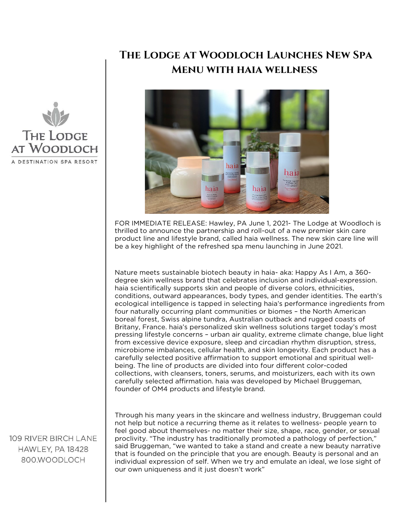## **The Lodge at Woodloch Launches New Spa Menu with haia wellness**



FOR IMMEDIATE RELEASE: Hawley, PA June 1, 2021- The Lodge at Woodloch is thrilled to announce the partnership and roll-out of a new premier skin care product line and lifestyle brand, called haia wellness. The new skin care line will be a key highlight of the refreshed spa menu launching in June 2021.

Nature meets sustainable biotech beauty in haia- aka: Happy As I Am, a 360 degree skin wellness brand that celebrates inclusion and individual-expression. haia scientifically supports skin and people of diverse colors, ethnicities, conditions, outward appearances, body types, and gender identities. The earth's ecological intelligence is tapped in selecting haia's performance ingredients from four naturally occurring plant communities or biomes – the North American boreal forest, Swiss alpine tundra, Australian outback and rugged coasts of Britany, France. haia's personalized skin wellness solutions target today's most pressing lifestyle concerns – urban air quality, extreme climate change, blue light from excessive device exposure, sleep and circadian rhythm disruption, stress, microbiome imbalances, cellular health, and skin longevity. Each product has a carefully selected positive affirmation to support emotional and spiritual wellbeing. The line of products are divided into four different color-coded collections, with cleansers, toners, serums, and moisturizers, each with its own carefully selected affirmation. haia was developed by Michael Bruggeman, founder of OM4 products and lifestyle brand.

109 RIVER BIRCH LANE HAWLEY, PA 18428 800.WOODLOCH

**THE LODGE** AT WOODLOCH

DESTINATION SPA RESORT

Through his many years in the skincare and wellness industry, Bruggeman could not help but notice a recurring theme as it relates to wellness- people yearn to feel good about themselves- no matter their size, shape, race, gender, or sexual proclivity. "The industry has traditionally promoted a pathology of perfection," said Bruggeman, "we wanted to take a stand and create a new beauty narrative that is founded on the principle that you are enough. Beauty is personal and an individual expression of self. When we try and emulate an ideal, we lose sight of our own uniqueness and it just doesn't work"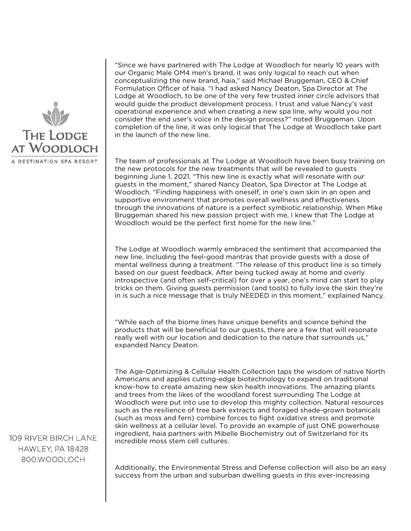

"Since we have partnered with The Lodge at Woodloch for nearly 10 years with our Organic Male OM4 men's brand, it was only logical to reach out when conceptualizing the new brand, haia," said Michael Bruggeman, CEO & Chief Formulation Officer of haia. "I had asked Nancy Deaton, Spa Director at The Lodge at Woodloch, to be one of the very few trusted inner circle advisors that would guide the product development process. I trust and value Nancy's vast operational experience and when creating a new spa line, why would you not consider the end user's voice in the design process?" noted Bruggeman. Upon completion of the line, it was only logical that The Lodge at Woodloch take part in the launch of the new line.

The team of professionals at The Lodge at Woodloch have been busy training on the new protocols for the new treatments that will be revealed to guests beginning June 1, 2021. "This new line is exactly what will resonate with our guests in the moment," shared Nancy Deaton, Spa Director at The Lodge at Woodloch. "Finding happiness with oneself, in one's own skin in an open and supportive environment that promotes overall wellness and effectiveness through the innovations of nature is a perfect symbiotic relationship. When Mike Bruggeman shared his new passion project with me, I knew that The Lodge at Woodloch would be the perfect first home for the new line."

The Lodge at Woodloch warmly embraced the sentiment that accompanied the new line. Including the feel-good mantras that provide guests with a dose of mental wellness during a treatment. "The release of this product line is so timely based on our guest feedback. After being tucked away at home and overly introspective (and often self-critical) for over a year, one's mind can start to play tricks on them. Giving guests permission (and tools) to fully love the skin they're in is such a nice message that is truly NEEDED in this moment," explained Nancy.

"While each of the biome lines have unique benefits and science behind the products that will be beneficial to our guests, there are a few that will resonate really well with our location and dedication to the nature that surrounds us," expanded Nancy Deaton.

The Age-Optimizing & Cellular Health Collection taps the wisdom of native North Americans and applies cutting-edge biotechnology to expand on traditional know-how to create amazing new skin health innovations. The amazing plants and trees from the likes of the woodland forest surrounding The Lodge at Woodloch were put into use to develop this mighty collection. Natural resources such as the resilience of tree bark extracts and foraged shade-grown botanicals (such as moss and fern) combine forces to fight oxidative stress and promote skin wellness at a cellular level. To provide an example of just ONE powerhouse ingredient, haia partners with Mibelle Biochemistry out of Switzerland for its incredible moss stem cell cultures.

109 RIVER BIRCH LANE HAWLEY, PA 18428 800.WOODLOCH

Additionally, the Environmental Stress and Defense collection will also be an easy success from the urban and suburban dwelling guests in this ever-increasing